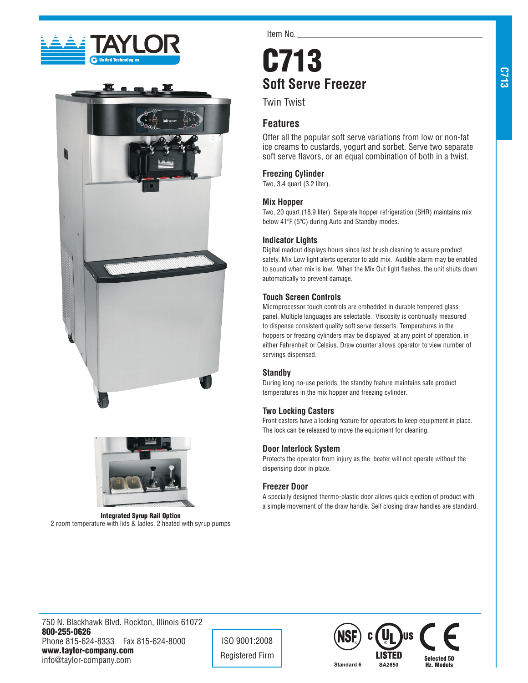





Integrated Syrup Rail Option 2 room temperature with lids & ladles, 2 heated with syrup pumps

Item No.

# C713 **Soft Serve Freezer**

Twin Twist

## **Features**

Offer all the popular soft serve variations from low or non-fat ice creams to custards, yogurt and sorbet. Serve two separate soft serve flavors, or an equal combination of both in a twist.

## **Freezing Cylinder**

Two, 3.4 quart (3.2 liter).

## **Mix Hopper**

Two, 20 quart (18.9 liter). Separate hopper refrigeration (SHR) maintains mix below 41ºF (5ºC) during Auto and Standby modes.

## **Indicator Lights**

Digital readout displays hours since last brush cleaning to assure product safety. Mix Low light alerts operator to add mix. Audible alarm may be enabled to sound when mix is low. When the Mix Out light flashes, the unit shuts down automatically to prevent damage.

## **Touch Screen Controls**

Microprocessor touch controls are embedded in durable tempered glass panel. Multiple languages are selectable. Viscosity is continually measured to dispense consistent quality soft serve desserts. Temperatures in the hoppers or freezing cylinders may be displayed at any point of operation, in either Fahrenheit or Celsius. Draw counter allows operator to view number of servings dispensed.

#### **Standby**

During long no-use periods, the standby feature maintains safe product temperatures in the mix hopper and freezing cylinder.

#### **Two Locking Casters**

Front casters have a locking feature for operators to keep equipment in place. The lock can be released to move the equipment for cleaning.

#### **Door Interlock System**

Protects the operator from injury as the beater will not operate without the dispensing door in place.

#### **Freezer Door**

A specially designed thermo-plastic door allows quick ejection of product with a simple movement of the draw handle. Self closing draw handles are standard.

750 N. Blackhawk Blvd. Rockton, Illinois 61072 800-255-0626 Phone 815-624-8333 Fax 815-624-8000 www.taylor-company.com info@taylor-company.com

ISO 9001:2008